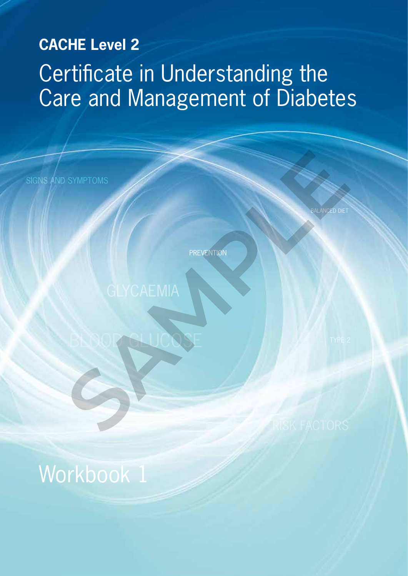# **CACHE Level 2** Certificate in Understanding the Care and Management of Diabetes

**PREVENTION** 

SYMPTOMS<br>GLYCAEMIA

BLOOD GLUCOSE

BALANCED DIET

Workbook 1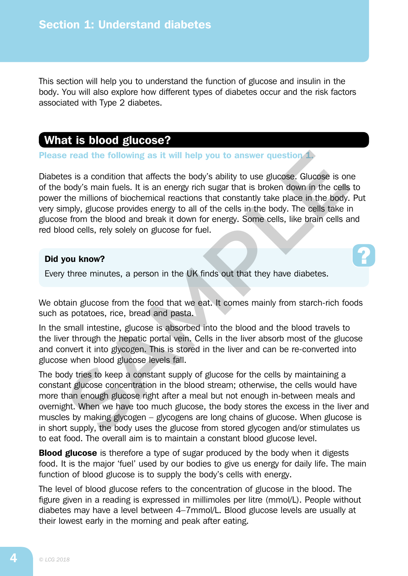This section will help you to understand the function of glucose and insulin in the body. You will also explore how different types of diabetes occur and the risk factors associated with Type 2 diabetes.

## What is blood glucose?

Please read the following as it will help you to answer question 1.

Diabetes is a condition that affects the body's ability to use glucose. Glucose is one of the body's main fuels. It is an energy rich sugar that is broken down in the cells to power the millions of biochemical reactions that constantly take place in the body. Put very simply, glucose provides energy to all of the cells in the body. The cells take in glucose from the blood and break it down for energy. Some cells, like brain cells and red blood cells, rely solely on glucose for fuel.

### Did you know?

Every three minutes, a person in the UK finds out that they have diabetes.

We obtain glucose from the food that we eat. It comes mainly from starch-rich foods such as potatoes, rice, bread and pasta.

In the small intestine, glucose is absorbed into the blood and the blood travels to the liver through the hepatic portal vein. Cells in the liver absorb most of the glucose and convert it into glycogen. This is stored in the liver and can be re-converted into glucose when blood glucose levels fall.

The body tries to keep a constant supply of glucose for the cells by maintaining a constant glucose concentration in the blood stream; otherwise, the cells would have more than enough glucose right after a meal but not enough in-between meals and overnight. When we have too much glucose, the body stores the excess in the liver and muscles by making glycogen – glycogens are long chains of glucose. When glucose is in short supply, the body uses the glucose from stored glycogen and/or stimulates us to eat food. The overall aim is to maintain a constant blood glucose level. **Example 18 and the following as it will help you to answer question 4.5 as is a condition that affects the body's ability to use glucose. Glucose is on body's main fuels. It is an energy rich sugar that is broken down in** 

**Blood glucose** is therefore a type of sugar produced by the body when it digests food. It is the major 'fuel' used by our bodies to give us energy for daily life. The main function of blood glucose is to supply the body's cells with energy.

The level of blood glucose refers to the concentration of glucose in the blood. The figure given in a reading is expressed in millimoles per litre (mmol/L). People without diabetes may have a level between 4–7mmol/L. Blood glucose levels are usually at their lowest early in the morning and peak after eating.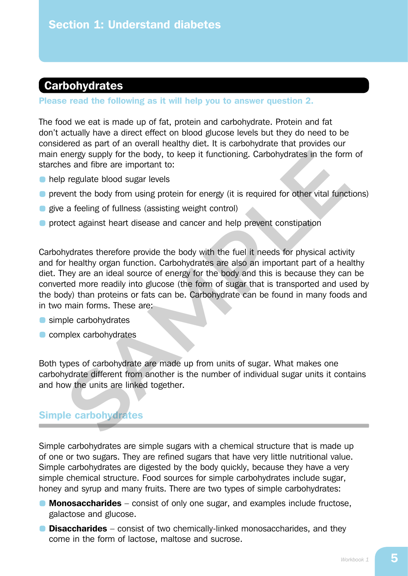# **Carbohydrates**

#### Please read the following as it will help you to answer question 2.

The food we eat is made up of fat, protein and carbohydrate. Protein and fat don't actually have a direct effect on blood glucose levels but they do need to be considered as part of an overall healthy diet. It is carbohydrate that provides our main energy supply for the body, to keep it functioning. Carbohydrates in the form of starches and fibre are important to:

- **help regulate blood sugar levels**
- **•** prevent the body from using protein for energy (it is required for other vital functions)
- **give a feeling of fullness (assisting weight control)**
- **•** protect against heart disease and cancer and help prevent constipation

Carbohydrates therefore provide the body with the fuel it needs for physical activity and for healthy organ function. Carbohydrates are also an important part of a healthy diet. They are an ideal source of energy for the body and this is because they can be converted more readily into glucose (the form of sugar that is transported and used by the body) than proteins or fats can be. Carbohydrate can be found in many foods and in two main forms. These are: The mergy supply for the body, to keep it functioning. Carbohydrates in the form<br>
SAM or regulate blood sugar levels<br>
SAMPLE and fibre are important to:<br>
SAMPLE are important to:<br>
SAMPLE are important for energy (it is req

- simple carbohydrates
- **C** complex carbohydrates

Both types of carbohydrate are made up from units of sugar. What makes one carbohydrate different from another is the number of individual sugar units it contains and how the units are linked together.

## Simple carbohydrates

Simple carbohydrates are simple sugars with a chemical structure that is made up of one or two sugars. They are refined sugars that have very little nutritional value. Simple carbohydrates are digested by the body quickly, because they have a very simple chemical structure. Food sources for simple carbohydrates include sugar, honey and syrup and many fruits. There are two types of simple carbohydrates:

- **Monosaccharides** consist of only one sugar, and examples include fructose, galactose and glucose.
- **Disaccharides** consist of two chemically-linked monosaccharides, and they come in the form of lactose, maltose and sucrose.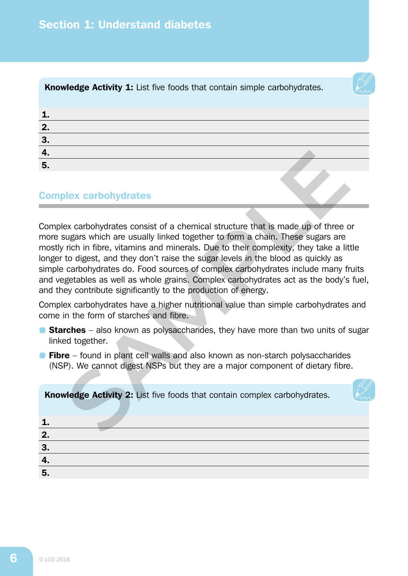

**Knowledge Activity 1:** List five foods that contain simple carbohydrates.

| n<br>Ζ.        |  |
|----------------|--|
| Э<br>o.        |  |
| <u>т.</u>      |  |
| 5 <sub>1</sub> |  |

## Complex carbohydrates

Complex carbohydrates consist of a chemical structure that is made up of three or more sugars which are usually linked together to form a chain. These sugars are mostly rich in fibre, vitamins and minerals. Due to their complexity, they take a little longer to digest, and they don't raise the sugar levels in the blood as quickly as simple carbohydrates do. Food sources of complex carbohydrates include many fruits and vegetables as well as whole grains. Complex carbohydrates act as the body's fuel, and they contribute significantly to the production of energy. **Solution** Solution and May alternative that is made up of three ougars which are usually linked together to form a chain. These sugars are rich in fibre, vitamins and minerals. Due to their complexity, they take a lit to

Complex carbohydrates have a higher nutritional value than simple carbohydrates and come in the form of starches and fibre.

- **Starches** also known as polysaccharides, they have more than two units of sugar linked together.
- **Fibre** found in plant cell walls and also known as non-starch polysaccharides (NSP). We cannot digest NSPs but they are a major component of dietary fibre.

Knowledge Activity 2: List five foods that contain complex carbohydrates.

| п  |  |
|----|--|
| 2. |  |
| 3  |  |
| т. |  |
| 5. |  |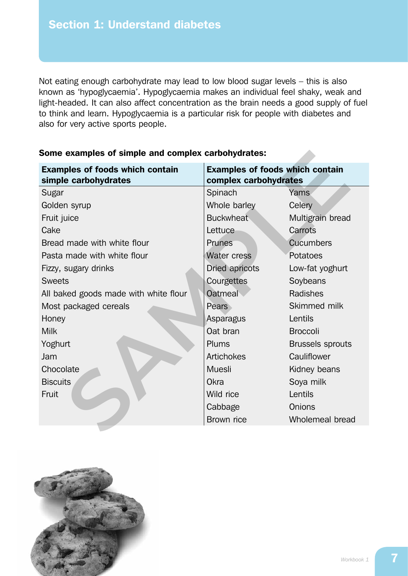Not eating enough carbohydrate may lead to low blood sugar levels – this is also known as 'hypoglycaemia'. Hypoglycaemia makes an individual feel shaky, weak and light-headed. It can also affect concentration as the brain needs a good supply of fuel to think and learn. Hypoglycaemia is a particular risk for people with diabetes and also for very active sports people.

| <b>Examples of foods which contain</b><br>simple carbohydrates | <b>Examples of foods which contain</b><br>complex carbohydrates |                         |
|----------------------------------------------------------------|-----------------------------------------------------------------|-------------------------|
| Sugar                                                          | Spinach                                                         | Yams                    |
| Golden syrup                                                   | Whole barley                                                    | Celery                  |
| Fruit juice                                                    | <b>Buckwheat</b>                                                | Multigrain bread        |
| Cake                                                           | Lettuce                                                         | Carrots                 |
| Bread made with white flour                                    | <b>Prunes</b>                                                   | <b>Cucumbers</b>        |
| Pasta made with white flour                                    | <b>Water cress</b>                                              | Potatoes                |
| Fizzy, sugary drinks                                           | Dried apricots                                                  | Low-fat yoghurt         |
| <b>Sweets</b>                                                  | Courgettes                                                      | Soybeans                |
| All baked goods made with white flour                          | Oatmeal                                                         | Radishes                |
| Most packaged cereals                                          | Pears                                                           | Skimmed milk            |
| Honey                                                          | Asparagus                                                       | Lentils                 |
| <b>Milk</b>                                                    | Oat bran                                                        | <b>Broccoli</b>         |
| Yoghurt                                                        | Plums                                                           | <b>Brussels sprouts</b> |
| Jam                                                            | Artichokes                                                      | Cauliflower             |
| Chocolate                                                      | <b>Muesli</b>                                                   | Kidney beans            |
| <b>Biscuits</b>                                                | Okra                                                            | Soya milk               |
| Fruit                                                          | Wild rice                                                       | Lentils                 |
|                                                                | Cabbage                                                         | Onions                  |
|                                                                | Brown rice                                                      | Wholemeal bread         |

### Some examples of simple and complex carbohydrates:

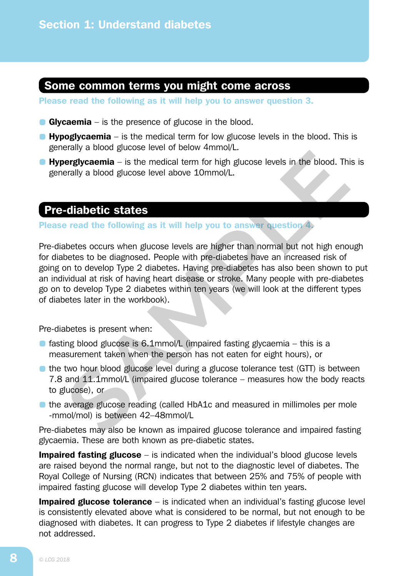## Some common terms you might come across

Please read the following as it will help you to answer question 3.

- Glycaemia is the presence of glucose in the blood.
- **Hypoglycaemia** is the medical term for low glucose levels in the blood. This is generally a blood glucose level of below 4mmol/L.
- **Hyperglycaemia** is the medical term for high glucose levels in the blood. This is generally a blood glucose level above 10mmol/L.

## Pre-diabetic states

#### Please read the following as it will help you to answer question 4.

Pre-diabetes occurs when glucose levels are higher than normal but not high enough for diabetes to be diagnosed. People with pre-diabetes have an increased risk of going on to develop Type 2 diabetes. Having pre-diabetes has also been shown to put an individual at risk of having heart disease or stroke. Many people with pre-diabetes go on to develop Type 2 diabetes within ten years (we will look at the different types of diabetes later in the workbook). **Example 2** distance is the medical term for high glucose levels in the blood. This<br>**Example 2** and the medical term for high glucose levels in the blood. This<br>**Sample 2** and the following as it will help you to answer que

Pre-diabetes is present when:

- **•** fasting blood glucose is 6.1mmol/L (impaired fasting glycaemia this is a measurement taken when the person has not eaten for eight hours), or
- the two hour blood glucose level during a glucose tolerance test (GTT) is between 7.8 and 11.1mmol/L (impaired glucose tolerance – measures how the body reacts to glucose), or
- the average glucose reading (called HbA1c and measured in millimoles per mole -mmol/mol) is between 42–48mmol/L

Pre-diabetes may also be known as impaired glucose tolerance and impaired fasting glycaemia. These are both known as pre-diabetic states.

**Impaired fasting glucose** – is indicated when the individual's blood glucose levels are raised beyond the normal range, but not to the diagnostic level of diabetes. The Royal College of Nursing (RCN) indicates that between 25% and 75% of people with impaired fasting glucose will develop Type 2 diabetes within ten years.

**Impaired glucose tolerance**  $-$  is indicated when an individual's fasting glucose level is consistently elevated above what is considered to be normal, but not enough to be diagnosed with diabetes. It can progress to Type 2 diabetes if lifestyle changes are not addressed.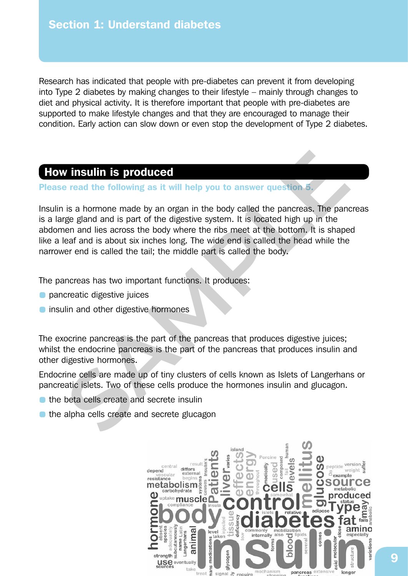Research has indicated that people with pre-diabetes can prevent it from developing into Type 2 diabetes by making changes to their lifestyle – mainly through changes to diet and physical activity. It is therefore important that people with pre-diabetes are supported to make lifestyle changes and that they are encouraged to manage their condition. Early action can slow down or even stop the development of Type 2 diabetes.

## How insulin is produced

Please read the following as it will help you to answer question 5.

Insulin is a hormone made by an organ in the body called the pancreas. The pancreas is a large gland and is part of the digestive system. It is located high up in the abdomen and lies across the body where the ribs meet at the bottom. It is shaped like a leaf and is about six inches long. The wide end is called the head while the narrower end is called the tail; the middle part is called the body. **Solution is produced**<br> **Solution is a homone made by an organ in the body called the pancress. The pant is a homone made by an organ in the body called the pancress. The pant gege gland and is part of the digestive system** 

The pancreas has two important functions. It produces:

- **O** pancreatic digestive juices
- **O** insulin and other digestive hormones

The exocrine pancreas is the part of the pancreas that produces digestive juices; whilst the endocrine pancreas is the part of the pancreas that produces insulin and other digestive hormones.

Endocrine cells are made up of tiny clusters of cells known as Islets of Langerhans or pancreatic islets. Two of these cells produce the hormones insulin and glucagon.

- the beta cells create and secrete insulin
- the alpha cells create and secrete glucagon